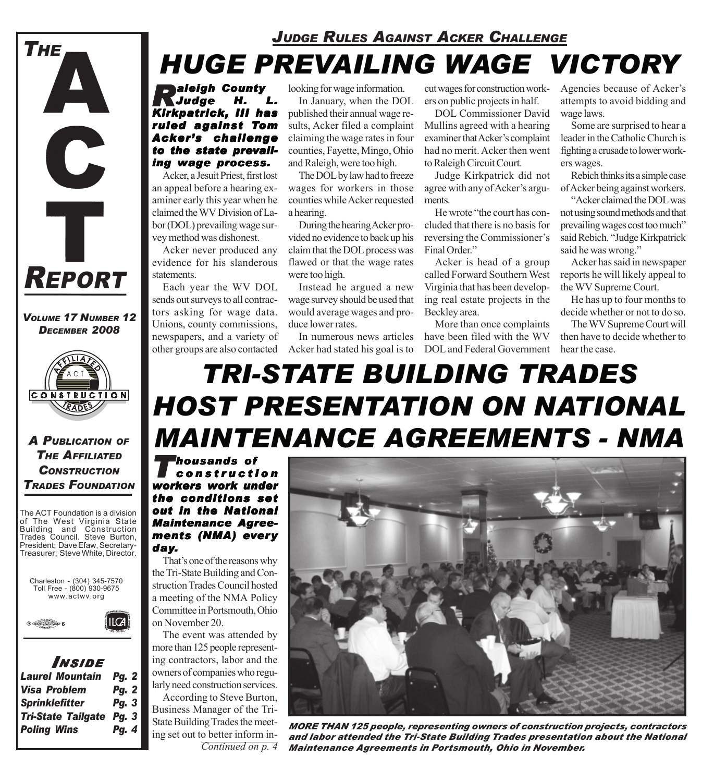

*Raleigh County Judge Kirkpatrick, III has ruled against Tom Acker's challenge to the state prevailing wage process.* 

Acker, a Jesuit Priest, first lost an appeal before a hearing examiner early this year when he claimed the WV Division of Labor (DOL) prevailing wage survey method was dishonest.

Acker never produced any evidence for his slanderous statements.

Each year the WV DOL sends out surveys to all contractors asking for wage data. Unions, county commissions, newspapers, and a variety of

looking for wage information. In January, when the DOL

published their annual wage results, Acker filed a complaint claiming the wage rates in four counties, Fayette, Mingo, Ohio and Raleigh, were too high.

The DOL by law had to freeze wages for workers in those counties while Acker requested a hearing.

During the hearing Acker provided no evidence to back up his claim that the DOL process was flawed or that the wage rates were too high.

Instead he argued a new wage survey should be used that would average wages and produce lower rates.

In numerous news articles

cut wages for construction workers on public projects in half.

DOL Commissioner David Mullins agreed with a hearing examiner that Acker's complaint had no merit. Acker then went to Raleigh Circuit Court.

Judge Kirkpatrick did not agree with any of Acker's arguments.

He wrote "the court has concluded that there is no basis for reversing the Commissioner's Final Order."

Acker is head of a group called Forward Southern West Virginia that has been developing real estate projects in the Beckley area.

other groups are also contacted Acker had stated his goal is to DOL and Federal Government More than once complaints have been filed with the WV

Agencies because of Acker's attempts to avoid bidding and wage laws.

Some are surprised to hear a leader in the Catholic Church is fighting a crusade to lower workers wages.

Rebich thinks its a simple case of Acker being against workers.

"Acker claimed the DOL was not using sound methods and that prevailing wages cost too much" said Rebich. "Judge Kirkpatrick said he was wrong."

Acker has said in newspaper reports he will likely appeal to the WV Supreme Court.

He has up to four months to decide whether or not to do so.

The WV Supreme Court will then have to decide whether to hear the case.

# *TRI-STATE BUILDING TRADES HOST PRESENTATION ON NATIONAL MAINTENANCE AGREEMENTS - NMA*

*Thousands of housands construction workers work under the conditions set out in the National out in National Maintenance Agree- Maintenance Agreements (NMA) every day.*

That's one of the reasons why the Tri-State Building and Construction Trades Council hosted a meeting of the NMA Policy Committee in Portsmouth, Ohio on November 20.

The event was attended by more than 125 people representing contractors, labor and the owners of companies who regularly need construction services.

According to Steve Burton, Business Manager of the Tri-State Building Trades the meeting set out to better inform in-*Continued on p. 4*



*MORE THAN 125 people, representing owners of construction projects, contractors and labor attended the Tri-State Building Trades presentation about the National Maintenance Agreements in Portsmouth, Ohio in November.*

*VOLUME 17 NUMBER 12 DECEMBER 2008*

C

Ť

**REPORT** 

**THE** 



*A PUBLICATION OF THE AFFILIATED CONSTRUCTION TRADES FOUNDATION*

The ACT Foundation is a division of The West Virginia State Building and Construction Trades Council. Steve Burton, President; Dave Efaw, Secretary-Treasurer; Steve White, Director.





| INSIDE                          |              |
|---------------------------------|--------------|
| <b>Laurel Mountain</b>          | <b>Pg. 2</b> |
| Visa Problem                    | Pg. 2        |
| <b>Sprinklefitter</b>           | Pg. 3        |
| <b>Tri-State Tailgate Pg. 3</b> |              |
| <b>Poling Wins</b>              | Pg. 4        |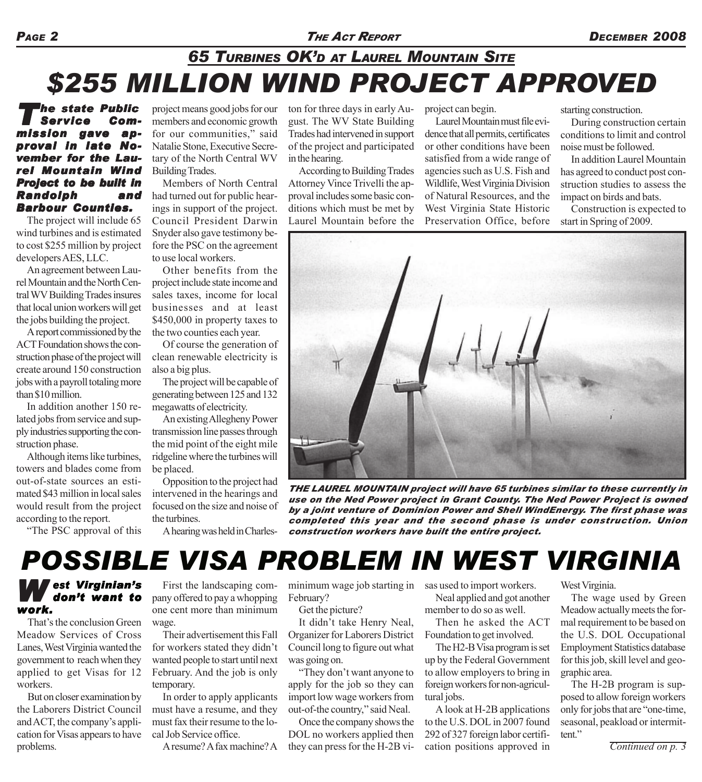#### *PAGE 2 THE ACT REPORT DECEMBER 2008*

### *65 TURBINES OK'D AT LAUREL MOUNTAIN SITE \$255 MILLION WIND PROJECT APPROVED*

#### *'he state Public<br>Service Com-<br>sion gave ap-* $S$ *ervice* mission gave *proval in late November for the Laurel Mountain Wind Project to be built in Randolph and Barbour Counties. Barbour Counties.*

The project will include 65 wind turbines and is estimated to cost \$255 million by project developers AES, LLC.

An agreement between Laurel Mountain and the North Central WV Building Trades insures that local union workers will get the jobs building the project.

A report commissioned by the ACT Foundation shows the construction phase of the project will create around 150 construction jobs with a payroll totaling more than \$10 million.

In addition another 150 related jobs from service and supply industries supporting the construction phase.

Although items like turbines, towers and blades come from out-of-state sources an estimated \$43 million in local sales would result from the project according to the report.

"The PSC approval of this

project means good jobs for our members and economic growth for our communities," said Natalie Stone, Executive Secretary of the North Central WV Building Trades.

Members of North Central had turned out for public hearings in support of the project. Council President Darwin Snyder also gave testimony before the PSC on the agreement to use local workers.

Other benefits from the project include state income and sales taxes, income for local businesses and at least \$450,000 in property taxes to the two counties each year.

Of course the generation of clean renewable electricity is also a big plus.

The project will be capable of generating between 125 and 132 megawatts of electricity.

An existing Allegheny Power transmission line passes through the mid point of the eight mile ridgeline where the turbines will be placed.

Opposition to the project had intervened in the hearings and focused on the size and noise of the turbines.

ton for three days in early August. The WV State Building Trades had intervened in support of the project and participated in the hearing.

According to Building Trades Attorney Vince Trivelli the approval includes some basic conditions which must be met by Laurel Mountain before the project can begin.

Laurel Mountain must file evidence that all permits, certificates or other conditions have been satisfied from a wide range of agencies such as U.S. Fish and Wildlife, West Virginia Division of Natural Resources, and the West Virginia State Historic Preservation Office, before starting construction.

During construction certain conditions to limit and control noise must be followed.

In addition Laurel Mountain has agreed to conduct post construction studies to assess the impact on birds and bats.

Construction is expected to start in Spring of 2009.



*THE LAUREL MOUNTAIN project will have 65 turbines similar to these currently in use on the Ned Power project in Grant County. The Ned Power Project is owned by a joint venture of Dominion Power and Shell WindEnergy. The first phase was completed this year and the second phase is under construction. Union construction workers have built the entire project.*

#### A hearing was held in Charles-

### *POSSIBLE VISA PROBLEM IN WEST VIRGINIA*

### *W est Virginian's don't want to work.*

That's the conclusion Green Meadow Services of Cross Lanes, West Virginia wanted the government to reach when they applied to get Visas for 12 workers.

But on closer examination by the Laborers District Council and ACT, the company's application for Visas appears to have problems.

First the landscaping company offered to pay a whopping one cent more than minimum wage.

Their advertisement this Fall for workers stated they didn't wanted people to start until next February. And the job is only temporary.

In order to apply applicants must have a resume, and they must fax their resume to the local Job Service office.

A resume? A fax machine? A

minimum wage job starting in sas used to import workers. February?

Get the picture?

It didn't take Henry Neal, Organizer for Laborers District Council long to figure out what was going on.

"They don't want anyone to apply for the job so they can import low wage workers from out-of-the country," said Neal.

Once the company shows the DOL no workers applied then they can press for the H-2B viNeal applied and got another

member to do so as well.

Then he asked the ACT Foundation to get involved.

The H2-B Visa program is set up by the Federal Government to allow employers to bring in foreign workers for non-agricultural jobs.

A look at H-2B applications to the U.S. DOL in 2007 found 292 of 327 foreign labor certification positions approved in West Virginia.

The wage used by Green Meadow actually meets the formal requirement to be based on the U.S. DOL Occupational Employment Statistics database for this job, skill level and geographic area.

The H-2B program is supposed to allow foreign workers only for jobs that are "one-time, seasonal, peakload or intermittent."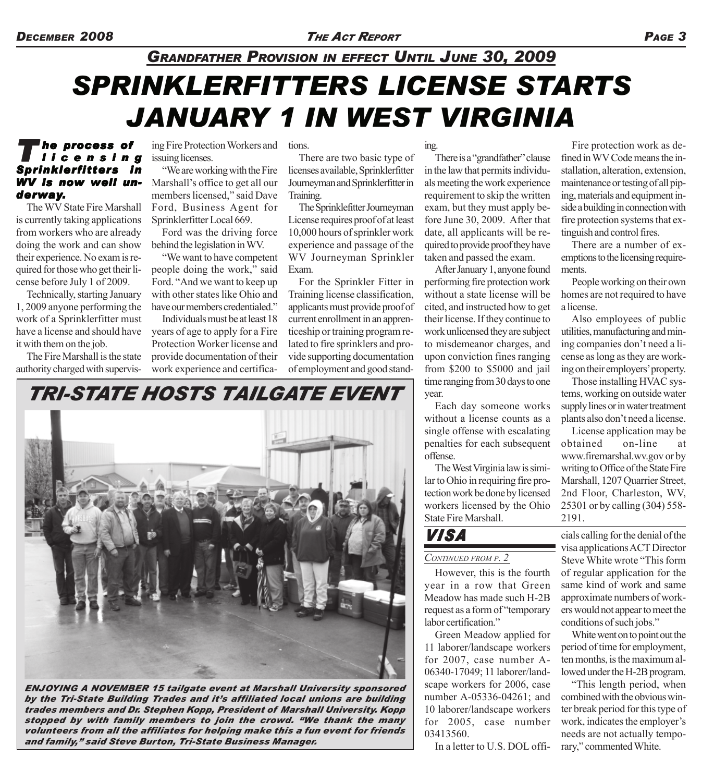## *SPRINKLERFITTERS LICENSE STARTS JANUARY 1 IN WEST VIRGINIA GRANDFATHER PROVISION IN EFFECT UNTIL JUNE 30, 2009*

### *T he process of process licensing Sprinklerfitters in WV is now well un- WV now underway.*

The WV State Fire Marshall is currently taking applications from workers who are already doing the work and can show their experience. No exam is required for those who get their license before July 1 of 2009.

Technically, starting January 1, 2009 anyone performing the work of a Sprinklerfitter must have a license and should have it with them on the job.

The Fire Marshall is the state authority charged with supervis-

ing Fire Protection Workers and tions. issuing licenses.

"We are working with the Fire Marshall's office to get all our members licensed," said Dave Ford, Business Agent for Sprinklerfitter Local 669.

Ford was the driving force behind the legislation in WV.

"We want to have competent people doing the work," said Ford. "And we want to keep up with other states like Ohio and have our members credentialed."

Individuals must be at least 18 years of age to apply for a Fire Protection Worker license and provide documentation of their work experience and certifica-

There are two basic type of licenses available, Sprinklerfitter Journeyman and Sprinklerfitter in Training.

The Sprinklefitter Journeyman License requires proof of at least 10,000 hours of sprinkler work experience and passage of the WV Journeyman Sprinkler Exam.

For the Sprinkler Fitter in Training license classification, applicants must provide proof of current enrollment in an apprenticeship or training program related to fire sprinklers and provide supporting documentation of employment and good stand-

ing. There is a "grandfather" clause in the law that permits individuals meeting the work experience requirement to skip the written exam, but they must apply before June 30, 2009. After that date, all applicants will be required to provide proof they have taken and passed the exam.

After January 1, anyone found performing fire protection work without a state license will be cited, and instructed how to get their license. If they continue to work unlicensed they are subject to misdemeanor charges, and upon conviction fines ranging from \$200 to \$5000 and jail time ranging from 30 days to one year.

Each day someone works without a license counts as a single offense with escalating penalties for each subsequent offense.

The West Virginia law is similar to Ohio in requiring fire protection work be done by licensed workers licensed by the Ohio State Fire Marshall.

#### *VISA*

#### *CONTINUED FROM P. 2*

However, this is the fourth year in a row that Green Meadow has made such H-2B request as a form of "temporary labor certification."

Green Meadow applied for 11 laborer/landscape workers for 2007, case number A-06340-17049; 11 laborer/landscape workers for 2006, case number A-05336-04261; and 10 laborer/landscape workers for 2005, case number 03413560.

In a letter to U.S. DOL offi-

Fire protection work as defined in WV Code means the installation, alteration, extension, maintenance or testing of all piping, materials and equipment inside a building in connection with fire protection systems that extinguish and control fires.

There are a number of exemptions to the licensing requirements.

People working on their own homes are not required to have a license.

Also employees of public utilities, manufacturing and mining companies don't need a license as long as they are working on their employers' property.

Those installing HVAC systems, working on outside water supply lines or in water treatment plants also don't need a license.

License application may be obtained on-line at www.firemarshal.wv.gov or by writing to Office of the State Fire Marshall, 1207 Quarrier Street, 2nd Floor, Charleston, WV, 25301 or by calling (304) 558- 2191.

cials calling for the denial of the visa applications ACT Director Steve White wrote "This form of regular application for the same kind of work and same approximate numbers of workers would not appear to meet the conditions of such jobs."

White went on to point out the period of time for employment, ten months, is the maximum allowed under the H-2B program.

"This length period, when combined with the obvious winter break period for this type of work, indicates the employer's needs are not actually temporary," commented White.

# *TRI-STATE HOSTS TAILGATE EVENT*



*ENJOYING A NOVEMBER 15 tailgate event at Marshall University sponsored by the Tri-State Building Trades and it's affiliated local unions are building trades members and Dr. Stephen Kopp, President of Marshall University. Kopp stopped by with family members to join the crowd. "We thank the many volunteers from all the affiliates for helping make this a fun event for friends and family," said Steve Burton, Tri-State Business Manager.*